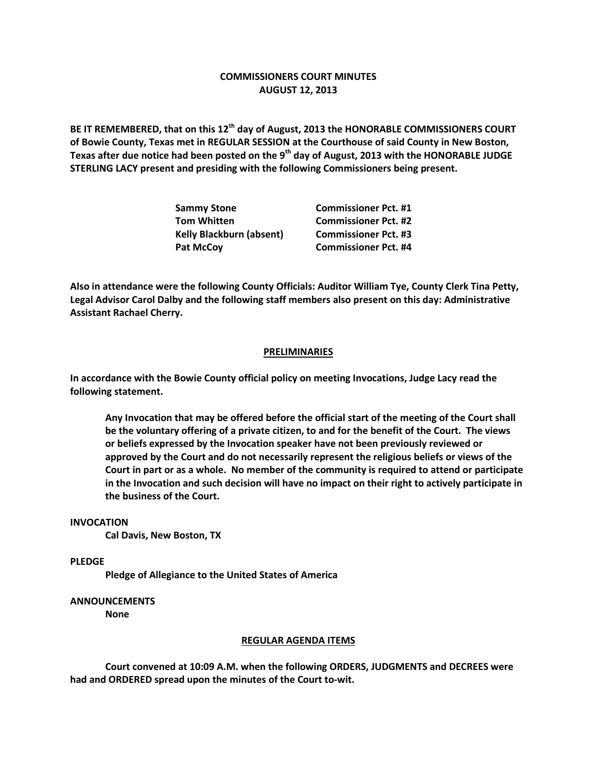## **COMMISSIONERS COURT MINUTES AUGUST 12, 2013**

**BE IT REMEMBERED, that on this 12th day of August, 2013 the HONORABLE COMMISSIONERS COURT of Bowie County, Texas met in REGULAR SESSION at the Courthouse of said County in New Boston, Texas after due notice had been posted on the 9th day of August, 2013 with the HONORABLE JUDGE STERLING LACY present and presiding with the following Commissioners being present.**

| Sammy Stone                     | <b>Commissioner Pct. #1</b> |
|---------------------------------|-----------------------------|
| Tom Whitten                     | <b>Commissioner Pct. #2</b> |
| <b>Kelly Blackburn (absent)</b> | <b>Commissioner Pct. #3</b> |
| Pat McCov                       | <b>Commissioner Pct. #4</b> |
|                                 |                             |

**Also in attendance were the following County Officials: Auditor William Tye, County Clerk Tina Petty, Legal Advisor Carol Dalby and the following staff members also present on this day: Administrative Assistant Rachael Cherry.**

## **PRELIMINARIES**

**In accordance with the Bowie County official policy on meeting Invocations, Judge Lacy read the following statement.**

**Any Invocation that may be offered before the official start of the meeting of the Court shall be the voluntary offering of a private citizen, to and for the benefit of the Court. The views or beliefs expressed by the Invocation speaker have not been previously reviewed or approved by the Court and do not necessarily represent the religious beliefs or views of the Court in part or as a whole. No member of the community is required to attend or participate in the Invocation and such decision will have no impact on their right to actively participate in the business of the Court.**

## **INVOCATION**

**Cal Davis, New Boston, TX**

**PLEDGE**

**Pledge of Allegiance to the United States of America**

**ANNOUNCEMENTS**

**None**

## **REGULAR AGENDA ITEMS**

**Court convened at 10:09 A.M. when the following ORDERS, JUDGMENTS and DECREES were had and ORDERED spread upon the minutes of the Court to-wit.**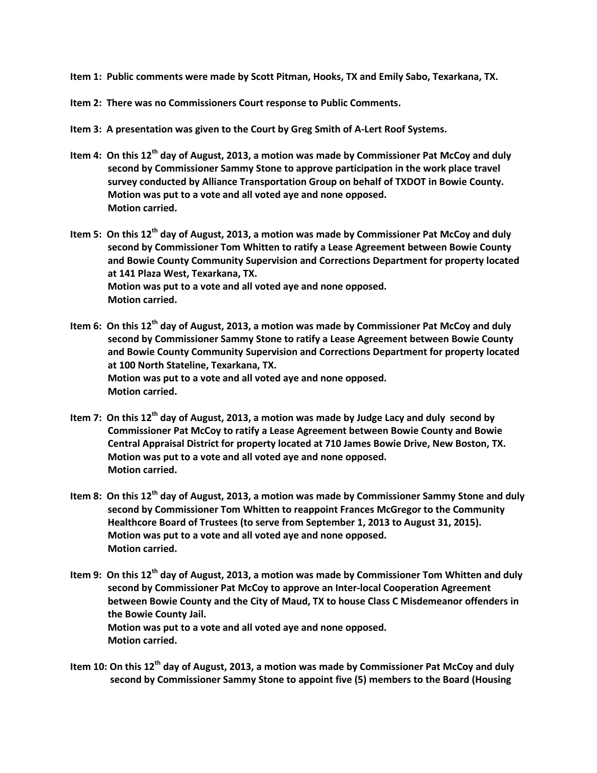- **Item 1: Public comments were made by Scott Pitman, Hooks, TX and Emily Sabo, Texarkana, TX.**
- **Item 2: There was no Commissioners Court response to Public Comments.**
- **Item 3: A presentation was given to the Court by Greg Smith of A-Lert Roof Systems.**
- **Item 4: On this 12th day of August, 2013, a motion was made by Commissioner Pat McCoy and duly second by Commissioner Sammy Stone to approve participation in the work place travel survey conducted by Alliance Transportation Group on behalf of TXDOT in Bowie County. Motion was put to a vote and all voted aye and none opposed. Motion carried.**
- **Item 5: On this 12th day of August, 2013, a motion was made by Commissioner Pat McCoy and duly second by Commissioner Tom Whitten to ratify a Lease Agreement between Bowie County and Bowie County Community Supervision and Corrections Department for property located at 141 Plaza West, Texarkana, TX. Motion was put to a vote and all voted aye and none opposed. Motion carried.**
- **Item 6: On this 12th day of August, 2013, a motion was made by Commissioner Pat McCoy and duly second by Commissioner Sammy Stone to ratify a Lease Agreement between Bowie County and Bowie County Community Supervision and Corrections Department for property located at 100 North Stateline, Texarkana, TX. Motion was put to a vote and all voted aye and none opposed. Motion carried.**
- **Item 7: On this 12th day of August, 2013, a motion was made by Judge Lacy and duly second by Commissioner Pat McCoy to ratify a Lease Agreement between Bowie County and Bowie Central Appraisal District for property located at 710 James Bowie Drive, New Boston, TX. Motion was put to a vote and all voted aye and none opposed. Motion carried.**
- **Item 8: On this 12th day of August, 2013, a motion was made by Commissioner Sammy Stone and duly second by Commissioner Tom Whitten to reappoint Frances McGregor to the Community Healthcore Board of Trustees (to serve from September 1, 2013 to August 31, 2015). Motion was put to a vote and all voted aye and none opposed. Motion carried.**
- **Item 9: On this 12th day of August, 2013, a motion was made by Commissioner Tom Whitten and duly second by Commissioner Pat McCoy to approve an Inter-local Cooperation Agreement between Bowie County and the City of Maud, TX to house Class C Misdemeanor offenders in the Bowie County Jail. Motion was put to a vote and all voted aye and none opposed. Motion carried.**
- **Item 10: On this 12th day of August, 2013, a motion was made by Commissioner Pat McCoy and duly second by Commissioner Sammy Stone to appoint five (5) members to the Board (Housing**